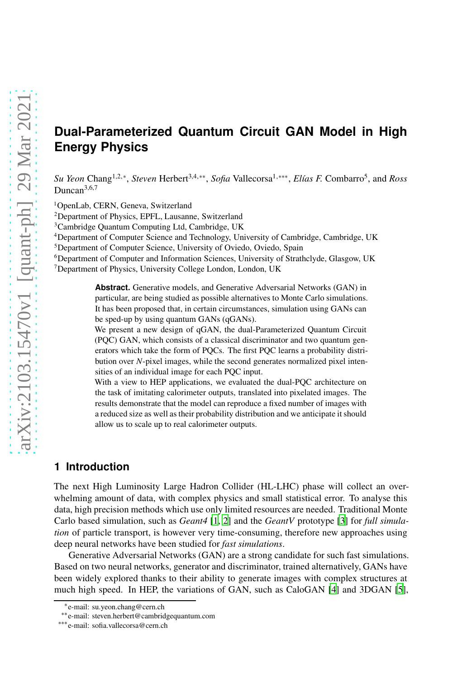# **Dual-Parameterized Quantum Circuit GAN Model in High Energy Physics**

*Su Yeon* Chang<sup>1,2,∗</sup>, *Steven* Herbert<sup>3,4,∗∗</sup>, *Sofia* Vallecorsa<sup>1,∗∗∗</sup>, *Elías F*. Combarro<sup>5</sup>, and *Ross* Duncan<sup>3,6,7</sup>

<sup>1</sup>OpenLab, CERN, Geneva, Switzerland

<sup>2</sup>Department of Physics, EPFL, Lausanne, Switzerland

<sup>3</sup>Cambridge Quantum Computing Ltd, Cambridge, UK

<sup>4</sup>Department of Computer Science and Technology, University of Cambridge, Cambridge, UK

<sup>5</sup>Department of Computer Science, University of Oviedo, Oviedo, Spain

<sup>6</sup>Department of Computer and Information Sciences, University of Strathclyde, Glasgow, UK <sup>7</sup>Department of Physics, University College London, London, UK

> **Abstract.** Generative models, and Generative Adversarial Networks (GAN) in particular, are being studied as possible alternatives to Monte Carlo simulations. It has been proposed that, in certain circumstances, simulation using GANs can be sped-up by using quantum GANs (qGANs).

> We present a new design of qGAN, the dual-Parameterized Quantum Circuit (PQC) GAN, which consists of a classical discriminator and two quantum generators which take the form of PQCs. The first PQC learns a probability distribution over *N*-pixel images, while the second generates normalized pixel intensities of an individual image for each PQC input.

> With a view to HEP applications, we evaluated the dual-PQC architecture on the task of imitating calorimeter outputs, translated into pixelated images. The results demonstrate that the model can reproduce a fixed number of images with a reduced size as well as their probability distribution and we anticipate it should allow us to scale up to real calorimeter outputs.

# **1 Introduction**

The next High Luminosity Large Hadron Collider (HL-LHC) phase will collect an overwhelming amount of data, with complex physics and small statistical error. To analyse this data, high precision methods which use only limited resources are needed. Traditional Monte Carlo based simulation, such as *Geant4* [\[1,](#page-8-0) [2](#page-8-1)] and the *GeantV* prototype [\[3](#page-8-2)] for *full simulation* of particle transport, is however very time-consuming, therefore new approaches using deep neural networks have been studied for *fast simulations*.

Generative Adversarial Networks (GAN) are a strong candidate for such fast simulations. Based on two neural networks, generator and discriminator, trained alternatively, GANs have been widely explored thanks to their ability to generate images with complex structures at much high speed. In HEP, the variations of GAN, such as CaloGAN [\[4\]](#page-9-0) and 3DGAN [\[5\]](#page-9-1),

<sup>∗</sup> e-mail: su.yeon.chang@cern.ch

<sup>∗∗</sup>e-mail: steven.herbert@cambridgequantum.com

<sup>∗∗∗</sup>e-mail: sofia.vallecorsa@cern.ch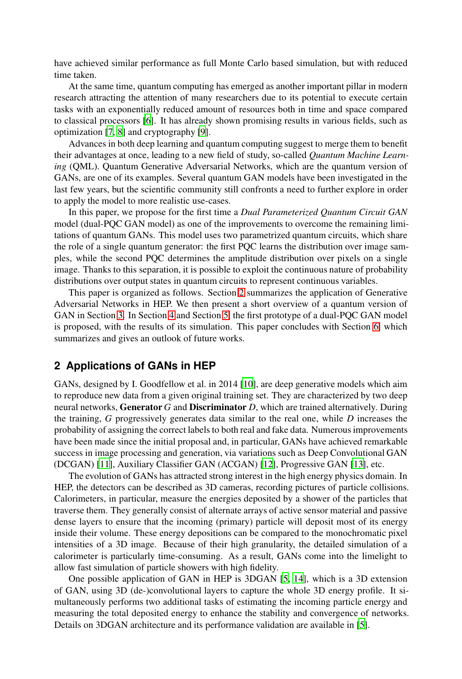have achieved similar performance as full Monte Carlo based simulation, but with reduced time taken.

At the same time, quantum computing has emerged as another important pillar in modern research attracting the attention of many researchers due to its potential to execute certain tasks with an exponentially reduced amount of resources both in time and space compared to classical processors [\[6](#page-9-2)]. It has already shown promising results in various fields, such as optimization [\[7,](#page-9-3) [8\]](#page-9-4) and cryptography [\[9](#page-9-5)].

Advances in both deep learning and quantum computing suggest to merge them to benefit their advantages at once, leading to a new field of study, so-called *Quantum Machine Learning* (QML). Quantum Generative Adversarial Networks, which are the quantum version of GANs, are one of its examples. Several quantum GAN models have been investigated in the last few years, but the scientific community still confronts a need to further explore in order to apply the model to more realistic use-cases.

In this paper, we propose for the first time a *Dual Parameterized Quantum Circuit GAN* model (dual-PQC GAN model) as one of the improvements to overcome the remaining limitations of quantum GANs. This model uses two parametrized quantum circuits, which share the role of a single quantum generator: the first PQC learns the distribution over image samples, while the second PQC determines the amplitude distribution over pixels on a single image. Thanks to this separation, it is possible to exploit the continuous nature of probability distributions over output states in quantum circuits to represent continuous variables.

This paper is organized as follows. Section [2](#page-1-0) summarizes the application of Generative Adversarial Networks in HEP. We then present a short overview of a quantum version of GAN in Section [3.](#page-2-0) In Section [4](#page-2-1) and Section [5,](#page-5-0) the first prototype of a dual-PQC GAN model is proposed, with the results of its simulation. This paper concludes with Section [6,](#page-8-3) which summarizes and gives an outlook of future works.

#### <span id="page-1-0"></span>**2 Applications of GANs in HEP**

GANs, designed by I. Goodfellow et al. in 2014 [\[10\]](#page-9-6), are deep generative models which aim to reproduce new data from a given original training set. They are characterized by two deep neural networks, Generator *G* and Discriminator *D*, which are trained alternatively. During the training, *G* progressively generates data similar to the real one, while *D* increases the probability of assigning the correct labels to both real and fake data. Numerous improvements have been made since the initial proposal and, in particular, GANs have achieved remarkable success in image processing and generation, via variations such as Deep Convolutional GAN (DCGAN) [\[11](#page-9-7)], Auxiliary Classifier GAN (ACGAN) [\[12\]](#page-9-8), Progressive GAN [\[13\]](#page-9-9), etc.

The evolution of GANs has attracted strong interest in the high energy physics domain. In HEP, the detectors can be described as 3D cameras, recording pictures of particle collisions. Calorimeters, in particular, measure the energies deposited by a shower of the particles that traverse them. They generally consist of alternate arrays of active sensor material and passive dense layers to ensure that the incoming (primary) particle will deposit most of its energy inside their volume. These energy depositions can be compared to the monochromatic pixel intensities of a 3D image. Because of their high granularity, the detailed simulation of a calorimeter is particularly time-consuming. As a result, GANs come into the limelight to allow fast simulation of particle showers with high fidelity.

One possible application of GAN in HEP is 3DGAN [\[5,](#page-9-1) [14\]](#page-9-10), which is a 3D extension of GAN, using 3D (de-)convolutional layers to capture the whole 3D energy profile. It simultaneously performs two additional tasks of estimating the incoming particle energy and measuring the total deposited energy to enhance the stability and convergence of networks. Details on 3DGAN architecture and its performance validation are available in [\[5\]](#page-9-1).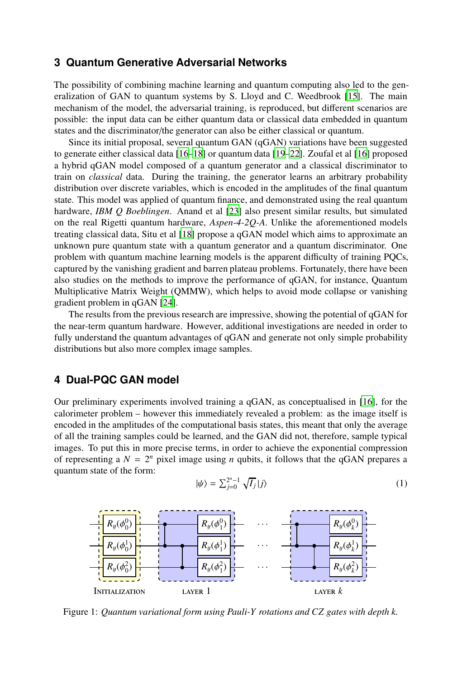### <span id="page-2-0"></span>**3 Quantum Generative Adversarial Networks**

The possibility of combining machine learning and quantum computing also led to the generalization of GAN to quantum systems by S. Lloyd and C. Weedbrook [\[15\]](#page-9-11). The main mechanism of the model, the adversarial training, is reproduced, but different scenarios are possible: the input data can be either quantum data or classical data embedded in quantum states and the discriminator/the generator can also be either classical or quantum.

Since its initial proposal, several quantum GAN (qGAN) variations have been suggested to generate either classical data [\[16](#page-9-12)[–18\]](#page-9-13) or quantum data [\[19](#page-9-14)[–22\]](#page-9-15). Zoufal et al [\[16\]](#page-9-12) proposed a hybrid qGAN model composed of a quantum generator and a classical discriminator to train on *classical* data. During the training, the generator learns an arbitrary probability distribution over discrete variables, which is encoded in the amplitudes of the final quantum state. This model was applied of quantum finance, and demonstrated using the real quantum hardware, *IBM Q Boeblingen*. Anand et al [\[23](#page-9-16)] also present similar results, but simulated on the real Rigetti quantum hardware, *Aspen-4-2Q-A*. Unlike the aforementioned models treating classical data, Situ et al [\[18\]](#page-9-13) propose a qGAN model which aims to approximate an unknown pure quantum state with a quantum generator and a quantum discriminator. One problem with quantum machine learning models is the apparent difficulty of training PQCs, captured by the vanishing gradient and barren plateau problems. Fortunately, there have been also studies on the methods to improve the performance of qGAN, for instance, Quantum Multiplicative Matrix Weight (QMMW), which helps to avoid mode collapse or vanishing gradient problem in qGAN [\[24](#page-9-17)].

The results from the previous research are impressive, showing the potential of qGAN for the near-term quantum hardware. However, additional investigations are needed in order to fully understand the quantum advantages of qGAN and generate not only simple probability distributions but also more complex image samples.

# <span id="page-2-1"></span>**4 Dual-PQC GAN model**

Our preliminary experiments involved training a qGAN, as conceptualised in [\[16\]](#page-9-12), for the calorimeter problem – however this immediately revealed a problem: as the image itself is encoded in the amplitudes of the computational basis states, this meant that only the average of all the training samples could be learned, and the GAN did not, therefore, sample typical images. To put this in more precise terms, in order to achieve the exponential compression of representing a  $N = 2^n$  pixel image using *n* qubits, it follows that the qGAN prepares a quantum state of the form:

$$
|\psi\rangle = \sum_{j=0}^{2^n - 1} \sqrt{I_j} |j\rangle \tag{1}
$$

<span id="page-2-2"></span>

Figure 1: *Quantum variational form using Pauli-Y rotations and CZ gates with depth k.*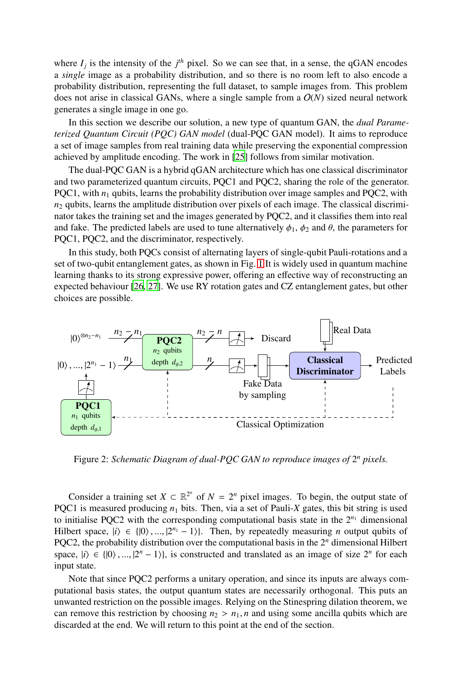where  $I_j$  is the intensity of the  $j<sup>th</sup>$  pixel. So we can see that, in a sense, the qGAN encodes a *single* image as a probability distribution, and so there is no room left to also encode a probability distribution, representing the full dataset, to sample images from. This problem does not arise in classical GANs, where a single sample from a  $O(N)$  sized neural network generates a single image in one go.

In this section we describe our solution, a new type of quantum GAN, the *dual Parameterized Quantum Circuit (PQC) GAN model* (dual-PQC GAN model). It aims to reproduce a set of image samples from real training data while preserving the exponential compression achieved by amplitude encoding. The work in [\[25\]](#page-9-18) follows from similar motivation.

The dual-PQC GAN is a hybrid qGAN architecture which has one classical discriminator and two parameterized quantum circuits, PQC1 and PQC2, sharing the role of the generator. PQC1, with  $n_1$  qubits, learns the probability distribution over image samples and PQC2, with  $n_2$  qubits, learns the amplitude distribution over pixels of each image. The classical discriminator takes the training set and the images generated by PQC2, and it classifies them into real and fake. The predicted labels are used to tune alternatively  $\phi_1$ ,  $\phi_2$  and  $\theta$ , the parameters for PQC1, PQC2, and the discriminator, respectively.

In this study, both PQCs consist of alternating layers of single-qubit Pauli-rotations and a set of two-qubit entanglement gates, as shown in Fig. [1](#page-2-2) It is widely used in quantum machine learning thanks to its strong expressive power, offering an effective way of reconstructing an expected behaviour [\[26,](#page-9-19) [27\]](#page-9-20). We use RY rotation gates and CZ entanglement gates, but other choices are possible.



Figure 2: Schematic Diagram of dual-PQC GAN to reproduce images of  $2<sup>n</sup>$  pixels.

Consider a training set  $X \subset \mathbb{R}^{2^n}$  of  $N = 2^n$  pixel images. To begin, the output state of PQC1 is measured producing  $n_1$  bits. Then, via a set of Pauli-X gates, this bit string is used to initialise PQC2 with the corresponding computational basis state in the  $2^{n_1}$  dimensional Hilbert space,  $|i\rangle \in \{ |0\rangle, ..., |2^{n_1} - 1\rangle \}$ . Then, by repeatedly measuring *n* output qubits of PQC2, the probability distribution over the computational basis in the 2*<sup>n</sup>* dimensional Hilbert space,  $|i\rangle \in \{0\}, ..., |2^n - 1\rangle\}$ , is constructed and translated as an image of size  $2^n$  for each input state.

Note that since PQC2 performs a unitary operation, and since its inputs are always computational basis states, the output quantum states are necessarily orthogonal. This puts an unwanted restriction on the possible images. Relying on the Stinespring dilation theorem, we can remove this restriction by choosing  $n_2 > n_1$ , *n* and using some ancilla qubits which are discarded at the end. We will return to this point at the end of the section.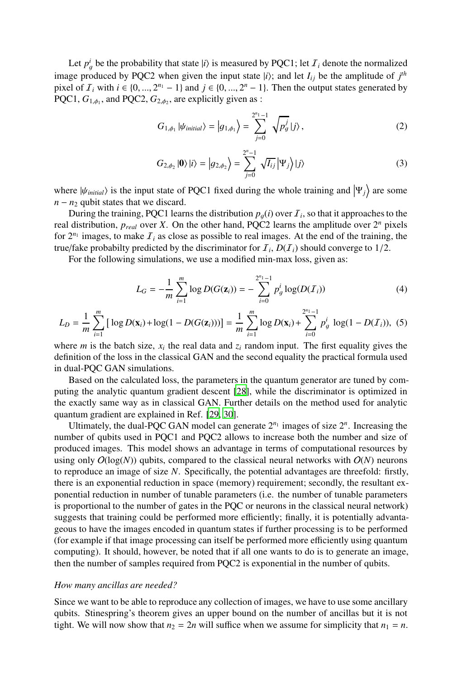Let  $p_g^i$  be the probability that state  $|i\rangle$  is measured by PQC1; let  $\mathcal{I}_i$  denote the normalized image produced by PQC2 when given the input state  $|i\rangle$ ; and let  $I_{ij}$  be the amplitude of  $j^{th}$ pixel of  $I_i$  with  $i \in \{0, ..., 2^{n_1} - 1\}$  and  $j \in \{0, ..., 2^n - 1\}$ . Then the output states generated by PQC1,  $G_{1,\phi_1}$ , and PQC2,  $G_{2,\phi_2}$ , are explicitly given as :

$$
G_{1,\phi_1} |\psi_{initial}\rangle = |g_{1,\phi_1}\rangle = \sum_{j=0}^{2^{n_1}-1} \sqrt{p_g^j} |j\rangle, \qquad (2)
$$

$$
G_{2,\phi_2} |0\rangle |i\rangle = |g_{2,\phi_2}\rangle = \sum_{j=0}^{2^n - 1} \sqrt{I_{ij}} | \Psi_j \rangle |j\rangle \tag{3}
$$

where  $|\psi_{initial}\rangle$  is the input state of PQC1 fixed during the whole training and  $|\Psi_j\rangle$  are some  $n - n_2$  qubit states that we discard.

During the training, PQC1 learns the distribution  $p_g(i)$  over  $\mathcal{I}_i$ , so that it approaches to the real distribution,  $p_{real}$  over *X*. On the other hand, PQC2 learns the amplitude over  $2^n$  pixels for  $2^{n_1}$  images, to make  $I_i$  as close as possible to real images. At the end of the training, the true/fake probabilty predicted by the discriminator for  $I_i$ ,  $D(I_i)$  should converge to  $1/2$ .

For the following simulations, we use a modified min-max loss, given as:

<span id="page-4-0"></span>
$$
L_G = -\frac{1}{m} \sum_{i=1}^{m} \log D(G(\mathbf{z}_i)) = -\sum_{i=0}^{2^{n} - 1} p_g^i \log(D(\mathcal{I}_i))
$$
(4)

$$
L_D = \frac{1}{m} \sum_{i=1}^{m} \left[ \log D(\mathbf{x}_i) + \log(1 - D(G(\mathbf{z}_i))) \right] = \frac{1}{m} \sum_{i=1}^{m} \log D(\mathbf{x}_i) + \sum_{i=0}^{2^{n} - 1} p_g^i \log(1 - D(T_i)), \tag{5}
$$

where *m* is the batch size,  $x_i$  the real data and  $z_i$  random input. The first equality gives the definition of the loss in the classical GAN and the second equality the practical formula used in dual-PQC GAN simulations.

Based on the calculated loss, the parameters in the quantum generator are tuned by computing the analytic quantum gradient descent [\[28](#page-9-21)], while the discriminator is optimized in the exactly same way as in classical GAN. Further details on the method used for analytic quantum gradient are explained in Ref. [\[29,](#page-9-22) [30](#page-9-23)].

Ultimately, the dual-PQC GAN model can generate  $2^{n_1}$  images of size  $2^n$ . Increasing the number of qubits used in PQC1 and PQC2 allows to increase both the number and size of produced images. This model shows an advantage in terms of computational resources by using only  $O(log(N))$  qubits, compared to the classical neural networks with  $O(N)$  neurons to reproduce an image of size *N*. Specifically, the potential advantages are threefold: firstly, there is an exponential reduction in space (memory) requirement; secondly, the resultant exponential reduction in number of tunable parameters (i.e. the number of tunable parameters is proportional to the number of gates in the PQC or neurons in the classical neural network) suggests that training could be performed more efficiently; finally, it is potentially advantageous to have the images encoded in quantum states if further processing is to be performed (for example if that image processing can itself be performed more efficiently using quantum computing). It should, however, be noted that if all one wants to do is to generate an image, then the number of samples required from PQC2 is exponential in the number of qubits.

#### *How many ancillas are needed?*

Since we want to be able to reproduce any collection of images, we have to use some ancillary qubits. Stinespring's theorem gives an upper bound on the number of ancillas but it is not tight. We will now show that  $n_2 = 2n$  will suffice when we assume for simplicity that  $n_1 = n$ .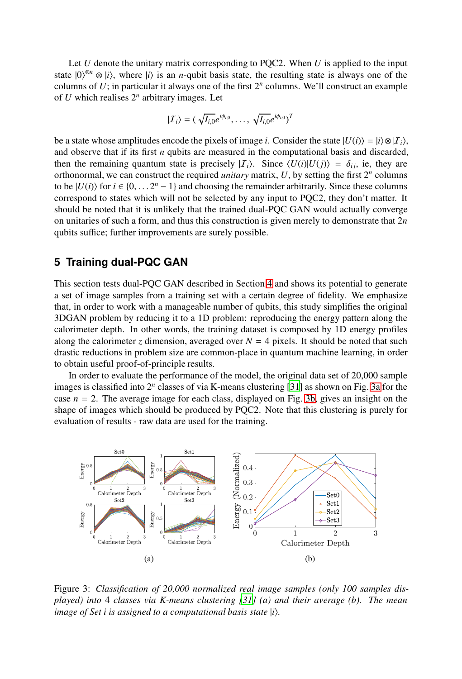Let *U* denote the unitary matrix corresponding to PQC2. When *U* is applied to the input state  $|0\rangle^{\otimes n} \otimes |i\rangle$ , where  $|i\rangle$  is an *n*-qubit basis state, the resulting state is always one of the columns of  $U$ ; in particular it always one of the first  $2<sup>n</sup>$  columns. We'll construct an example of  $U$  which realises  $2^n$  arbitrary images. Let

$$
|\mathcal{I}_i\rangle = (\sqrt{I_{i,0}}e^{i\phi_{i,0}},\ldots,\sqrt{I_{i,0}}e^{i\phi_{i,0}})^T
$$

be a state whose amplitudes encode the pixels of image *i*. Consider the state  $|U(i)\rangle = |i\rangle \otimes |I_i\rangle$ , and observe that if its first *n* qubits are measured in the computational basis and discarded, then the remaining quantum state is precisely  $|I_i\rangle$ . Since  $\langle U(i)|U(j)\rangle = \delta_{ij}$ , ie, they are orthonormal, we can construct the required *unitary* matrix, *U*, by setting the first 2*<sup>n</sup>* columns to be  $|U(i)\rangle$  for  $i \in \{0, \ldots 2^n - 1\}$  and choosing the remainder arbitrarily. Since these columns correspond to states which will not be selected by any input to PQC2, they don't matter. It should be noted that it is unlikely that the trained dual-PQC GAN would actually converge on unitaries of such a form, and thus this construction is given merely to demonstrate that 2*n* qubits suffice; further improvements are surely possible.

#### <span id="page-5-0"></span>**5 Training dual-PQC GAN**

This section tests dual-PQC GAN described in Section [4](#page-2-1) and shows its potential to generate a set of image samples from a training set with a certain degree of fidelity. We emphasize that, in order to work with a manageable number of qubits, this study simplifies the original 3DGAN problem by reducing it to a 1D problem: reproducing the energy pattern along the calorimeter depth. In other words, the training dataset is composed by 1D energy profiles along the calorimeter *z* dimension, averaged over  $N = 4$  pixels. It should be noted that such drastic reductions in problem size are common-place in quantum machine learning, in order to obtain useful proof-of-principle results.

In order to evaluate the performance of the model, the original data set of 20,000 sample images is classified into 2<sup>n</sup> classes of via K-means clustering [\[31\]](#page-10-0) as shown on Fig. [3a](#page-5-1) for the case  $n = 2$ . The average image for each class, displayed on Fig. [3b,](#page-5-1) gives an insight on the shape of images which should be produced by PQC2. Note that this clustering is purely for evaluation of results - raw data are used for the training.

<span id="page-5-1"></span>

Figure 3: *Classification of 20,000 normalized real image samples (only 100 samples displayed) into* 4 *classes via K-means clustering [\[31\]](#page-10-0) (a) and their average (b). The mean image of Set i is assigned to a computational basis state*  $|i\rangle$ *.*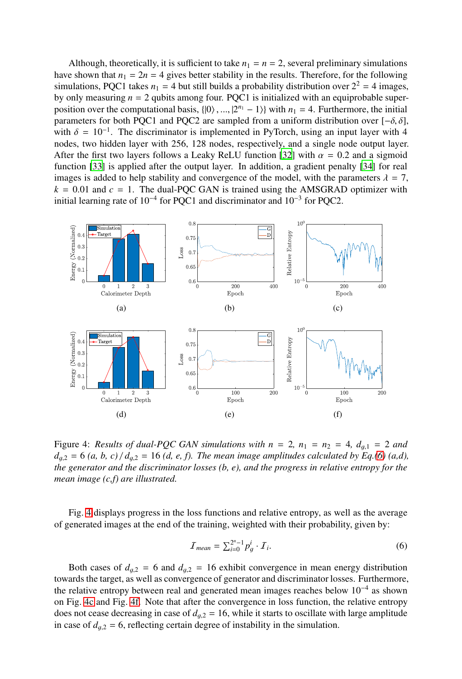Although, theoretically, it is sufficient to take  $n_1 = n = 2$ , several preliminary simulations have shown that  $n_1 = 2n = 4$  gives better stability in the results. Therefore, for the following simulations, PQC1 takes  $n_1 = 4$  but still builds a probability distribution over  $2^2 = 4$  images, by only measuring  $n = 2$  qubits among four. PQC1 is initialized with an equiprobable superposition over the computational basis,  $\{|0\rangle, ..., |2^{n_1} - 1\rangle\}$  with  $n_1 = 4$ . Furthermore, the initial parameters for both PQC1 and PQC2 are sampled from a uniform distribution over  $[-\delta, \delta]$ , with  $\delta = 10^{-1}$ . The discriminator is implemented in PyTorch, using an input layer with 4 nodes, two hidden layer with 256, 128 nodes, respectively, and a single node output layer. After the first two layers follows a Leaky ReLU function [\[32\]](#page-10-1) with  $\alpha = 0.2$  and a sigmoid function [\[33\]](#page-10-2) is applied after the output layer. In addition, a gradient penalty [\[34\]](#page-10-3) for real images is added to help stability and convergence of the model, with the parameters  $\lambda = 7$ ,  $k = 0.01$  and  $c = 1$ . The dual-PQC GAN is trained using the AMSGRAD optimizer with initial learning rate of  $10^{-4}$  for PQC1 and discriminator and  $10^{-3}$  for PQC2.

<span id="page-6-1"></span>

Figure 4: *Results of dual-PQC GAN simulations with*  $n = 2$ ,  $n_1 = n_2 = 4$ ,  $d_{g,1} = 2$  and  $d_{a,2} = 6$  *(a, b, c)* /  $d_{a,2} = 16$  *(d, e, f). The mean image amplitudes calculated by Eq.[\(6\)](#page-6-0) (a,d), the generator and the discriminator losses (b, e), and the progress in relative entropy for the mean image (c,f) are illustrated.*

Fig. [4](#page-6-1) displays progress in the loss functions and relative entropy, as well as the average of generated images at the end of the training, weighted with their probability, given by:

<span id="page-6-0"></span>
$$
\mathcal{I}_{mean} = \sum_{i=0}^{2^n - 1} p_g^i \cdot \mathcal{I}_i. \tag{6}
$$

Both cases of  $d_{g,2} = 6$  and  $d_{g,2} = 16$  exhibit convergence in mean energy distribution towards the target, as well as convergence of generator and discriminator losses. Furthermore, the relative entropy between real and generated mean images reaches below 10<sup>−</sup><sup>4</sup> as shown on Fig. [4c](#page-6-1) and Fig. [4f.](#page-6-1) Note that after the convergence in loss function, the relative entropy does not cease decreasing in case of  $d_{q,2} = 16$ , while it starts to oscillate with large amplitude in case of  $d_{g,2} = 6$ , reflecting certain degree of instability in the simulation.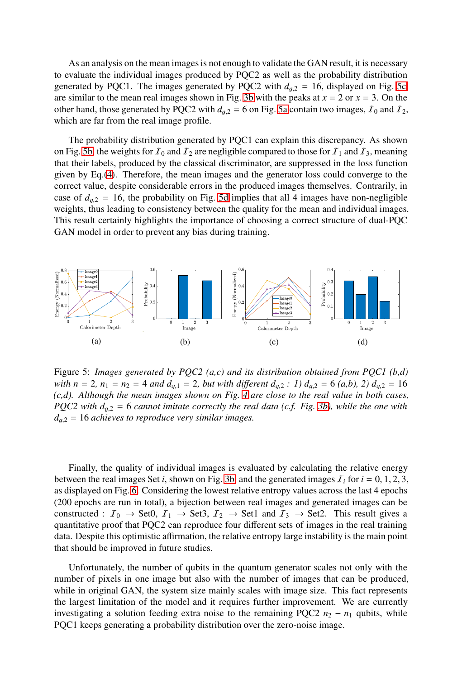As an analysis on the mean images is not enough to validate the GAN result, it is necessary to evaluate the individual images produced by PQC2 as well as the probability distribution generated by PQC1. The images generated by PQC2 with  $d_{q2} = 16$ , displayed on Fig. [5c,](#page-7-0) are similar to the mean real images shown in Fig. [3b](#page-5-1) with the peaks at  $x = 2$  or  $x = 3$ . On the other hand, those generated by PQC2 with  $d_{q,2} = 6$  on Fig. [5a](#page-7-0) contain two images,  $\mathcal{I}_0$  and  $\mathcal{I}_2$ , which are far from the real image profile.

The probability distribution generated by PQC1 can explain this discrepancy. As shown on Fig. [5b,](#page-7-0) the weights for  $I_0$  and  $I_2$  are negligible compared to those for  $I_1$  and  $I_3$ , meaning that their labels, produced by the classical discriminator, are suppressed in the loss function given by Eq.[\(4\)](#page-4-0). Therefore, the mean images and the generator loss could converge to the correct value, despite considerable errors in the produced images themselves. Contrarily, in case of  $d_{q2} = 16$ , the probability on Fig. [5d](#page-7-0) implies that all 4 images have non-negligible weights, thus leading to consistency between the quality for the mean and individual images. This result certainly highlights the importance of choosing a correct structure of dual-PQC GAN model in order to prevent any bias during training.

<span id="page-7-0"></span>

Figure 5: *Images generated by PQC2 (a,c) and its distribution obtained from PQC1 (b,d) with*  $n = 2$ ,  $n_1 = n_2 = 4$  *and*  $d_{q,1} = 2$ , *but with different*  $d_{q,2} : 1$   $d_{q,2} = 6$  (*a,b*), 2)  $d_{q,2} = 16$ *(c,d). Although the mean images shown on Fig. [4](#page-6-1) are close to the real value in both cases, PQC2 with*  $d_{q,2} = 6$  *cannot imitate correctly the real data (c.f. Fig. [3b\)](#page-5-1), while the one with d*g,<sup>2</sup> = 16 *achieves to reproduce very similar images.*

Finally, the quality of individual images is evaluated by calculating the relative energy between the real images Set *i*, shown on Fig. [3b,](#page-5-1) and the generated images  $I_i$  for  $i = 0, 1, 2, 3$ , as displayed on Fig. [6.](#page-8-4) Considering the lowest relative entropy values across the last 4 epochs (200 epochs are run in total), a bijection between real images and generated images can be constructed :  $I_0 \rightarrow$  Set0,  $I_1 \rightarrow$  Set3,  $I_2 \rightarrow$  Set1 and  $I_3 \rightarrow$  Set2. This result gives a quantitative proof that PQC2 can reproduce four different sets of images in the real training data. Despite this optimistic affirmation, the relative entropy large instability is the main point that should be improved in future studies.

Unfortunately, the number of qubits in the quantum generator scales not only with the number of pixels in one image but also with the number of images that can be produced, while in original GAN, the system size mainly scales with image size. This fact represents the largest limitation of the model and it requires further improvement. We are currently investigating a solution feeding extra noise to the remaining PQC2  $n_2 - n_1$  qubits, while PQC1 keeps generating a probability distribution over the zero-noise image.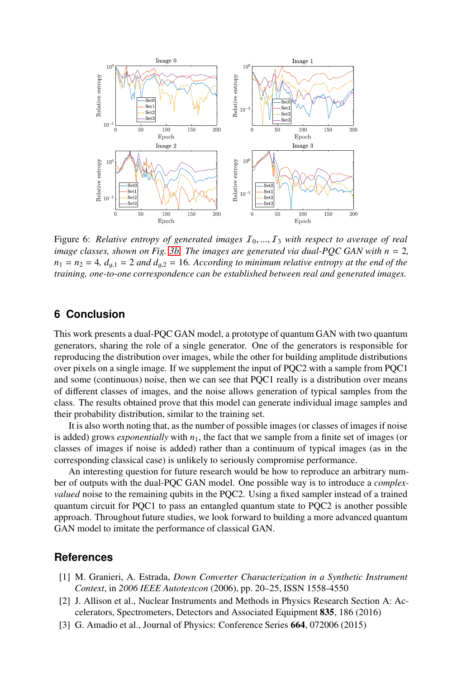<span id="page-8-4"></span>

Figure 6: *Relative entropy of generated images*  $I_0, ..., I_3$  with respect to average of real *image classes, shown on Fig. [3b.](#page-5-1) The images are generated via dual-PQC GAN with n* = 2*,*  $n_1 = n_2 = 4$ ,  $d_{a,1} = 2$  *and*  $d_{a,2} = 16$ . According to minimum relative entropy at the end of the *training, one-to-one correspondence can be established between real and generated images.*

# <span id="page-8-3"></span>**6 Conclusion**

This work presents a dual-PQC GAN model, a prototype of quantum GAN with two quantum generators, sharing the role of a single generator. One of the generators is responsible for reproducing the distribution over images, while the other for building amplitude distributions over pixels on a single image. If we supplement the input of PQC2 with a sample from PQC1 and some (continuous) noise, then we can see that PQC1 really is a distribution over means of different classes of images, and the noise allows generation of typical samples from the class. The results obtained prove that this model can generate individual image samples and their probability distribution, similar to the training set.

It is also worth noting that, as the number of possible images(or classes of images if noise is added) grows *exponentially* with  $n_1$ , the fact that we sample from a finite set of images (or classes of images if noise is added) rather than a continuum of typical images (as in the corresponding classical case) is unlikely to seriously compromise performance.

An interesting question for future research would be how to reproduce an arbitrary number of outputs with the dual-PQC GAN model. One possible way is to introduce a *complexvalued* noise to the remaining qubits in the PQC2. Using a fixed sampler instead of a trained quantum circuit for PQC1 to pass an entangled quantum state to PQC2 is another possible approach. Throughout future studies, we look forward to building a more advanced quantum GAN model to imitate the performance of classical GAN.

#### **References**

- <span id="page-8-0"></span>[1] M. Granieri, A. Estrada, *Down Converter Characterization in a Synthetic Instrument Context*, in *2006 IEEE Autotestcon* (2006), pp. 20–25, ISSN 1558-4550
- <span id="page-8-1"></span>[2] J. Allison et al., Nuclear Instruments and Methods in Physics Research Section A: Accelerators, Spectrometers, Detectors and Associated Equipment 835, 186 (2016)
- <span id="page-8-2"></span>[3] G. Amadio et al., Journal of Physics: Conference Series 664, 072006 (2015)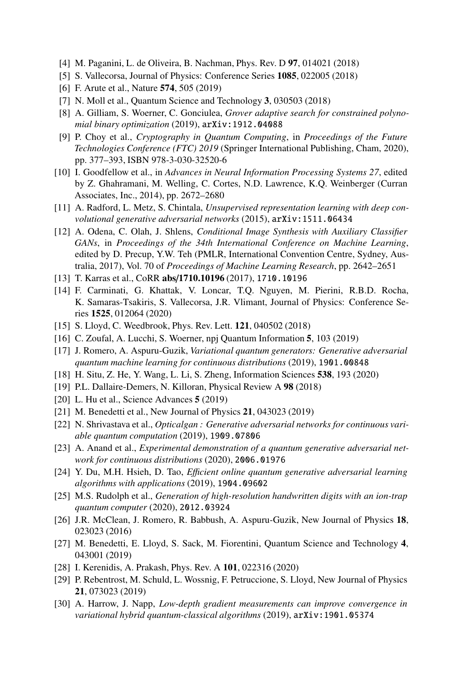- <span id="page-9-0"></span>[4] M. Paganini, L. de Oliveira, B. Nachman, Phys. Rev. D 97, 014021 (2018)
- <span id="page-9-1"></span>[5] S. Vallecorsa, Journal of Physics: Conference Series 1085, 022005 (2018)
- <span id="page-9-2"></span>[6] F. Arute et al., Nature 574, 505 (2019)
- <span id="page-9-3"></span>[7] N. Moll et al., Quantum Science and Technology 3, 030503 (2018)
- <span id="page-9-4"></span>[8] A. Gilliam, S. Woerner, C. Gonciulea, *Grover adaptive search for constrained polynomial binary optimization* (2019), arXiv:1912.04088
- <span id="page-9-5"></span>[9] P. Choy et al., *Cryptography in Quantum Computing*, in *Proceedings of the Future Technologies Conference (FTC) 2019* (Springer International Publishing, Cham, 2020), pp. 377–393, ISBN 978-3-030-32520-6
- <span id="page-9-6"></span>[10] I. Goodfellow et al., in *Advances in Neural Information Processing Systems 27*, edited by Z. Ghahramani, M. Welling, C. Cortes, N.D. Lawrence, K.Q. Weinberger (Curran Associates, Inc., 2014), pp. 2672–2680
- <span id="page-9-7"></span>[11] A. Radford, L. Metz, S. Chintala, *Unsupervised representation learning with deep convolutional generative adversarial networks* (2015), arXiv:1511.06434
- <span id="page-9-8"></span>[12] A. Odena, C. Olah, J. Shlens, *Conditional Image Synthesis with Auxiliary Classifier GANs*, in *Proceedings of the 34th International Conference on Machine Learning*, edited by D. Precup, Y.W. Teh (PMLR, International Convention Centre, Sydney, Australia, 2017), Vol. 70 of *Proceedings of Machine Learning Research*, pp. 2642–2651
- <span id="page-9-9"></span>[13] T. Karras et al., CoRR abs/1710.10196 (2017), 1710.10196
- <span id="page-9-10"></span>[14] F. Carminati, G. Khattak, V. Loncar, T.Q. Nguyen, M. Pierini, R.B.D. Rocha, K. Samaras-Tsakiris, S. Vallecorsa, J.R. Vlimant, Journal of Physics: Conference Series 1525, 012064 (2020)
- <span id="page-9-11"></span>[15] S. Lloyd, C. Weedbrook, Phys. Rev. Lett. **121**, 040502 (2018)
- <span id="page-9-12"></span>[16] C. Zoufal, A. Lucchi, S. Woerner, npj Quantum Information 5, 103 (2019)
- [17] J. Romero, A. Aspuru-Guzik, *Variational quantum generators: Generative adversarial quantum machine learning for continuous distributions* (2019), 1901.00848
- <span id="page-9-13"></span>[18] H. Situ, Z. He, Y. Wang, L. Li, S. Zheng, Information Sciences 538, 193 (2020)
- <span id="page-9-14"></span>[19] P.L. Dallaire-Demers, N. Killoran, Physical Review A 98 (2018)
- [20] L. Hu et al., Science Advances 5 (2019)
- [21] M. Benedetti et al., New Journal of Physics 21, 043023 (2019)
- <span id="page-9-15"></span>[22] N. Shrivastava et al., *Opticalgan : Generative adversarial networks for continuous variable quantum computation* (2019), 1909.07806
- <span id="page-9-16"></span>[23] A. Anand et al., *Experimental demonstration of a quantum generative adversarial network for continuous distributions* (2020), 2006.01976
- <span id="page-9-17"></span>[24] Y. Du, M.H. Hsieh, D. Tao, *E*ffi*cient online quantum generative adversarial learning algorithms with applications* (2019), 1904.09602
- <span id="page-9-18"></span>[25] M.S. Rudolph et al., *Generation of high-resolution handwritten digits with an ion-trap quantum computer* (2020), 2012.03924
- <span id="page-9-19"></span>[26] J.R. McClean, J. Romero, R. Babbush, A. Aspuru-Guzik, New Journal of Physics 18, 023023 (2016)
- <span id="page-9-20"></span>[27] M. Benedetti, E. Lloyd, S. Sack, M. Fiorentini, Quantum Science and Technology 4, 043001 (2019)
- <span id="page-9-21"></span>[28] I. Kerenidis, A. Prakash, Phys. Rev. A 101, 022316 (2020)
- <span id="page-9-22"></span>[29] P. Rebentrost, M. Schuld, L. Wossnig, F. Petruccione, S. Lloyd, New Journal of Physics 21, 073023 (2019)
- <span id="page-9-23"></span>[30] A. Harrow, J. Napp, *Low-depth gradient measurements can improve convergence in variational hybrid quantum-classical algorithms* (2019), arXiv:1901.05374